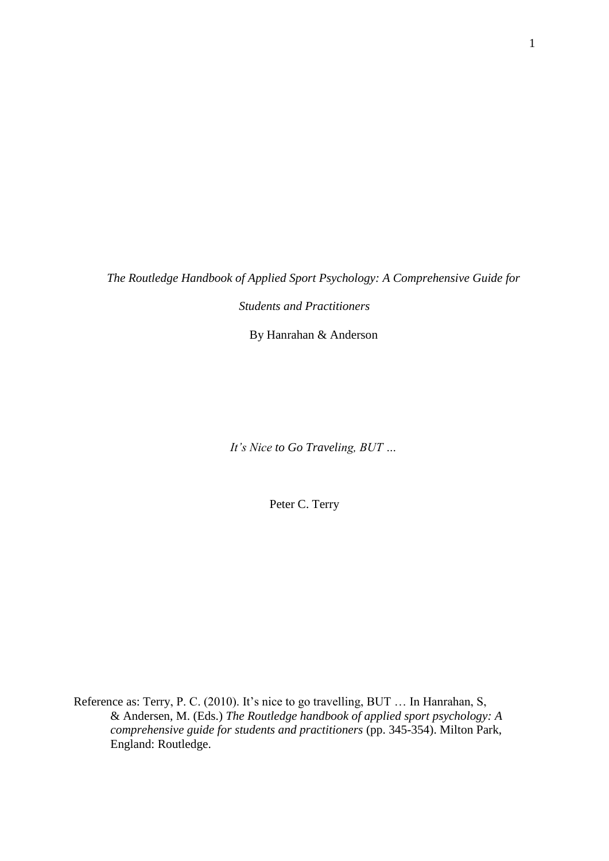*The Routledge Handbook of Applied Sport Psychology: A Comprehensive Guide for* 

*Students and Practitioners*

By Hanrahan & Anderson

*It's Nice to Go Traveling, BUT …*

Peter C. Terry

Reference as: Terry, P. C. (2010). It's nice to go travelling, BUT … In Hanrahan, S, & Andersen, M. (Eds.) *The Routledge handbook of applied sport psychology: A comprehensive guide for students and practitioners* (pp. 345-354). Milton Park, England: Routledge.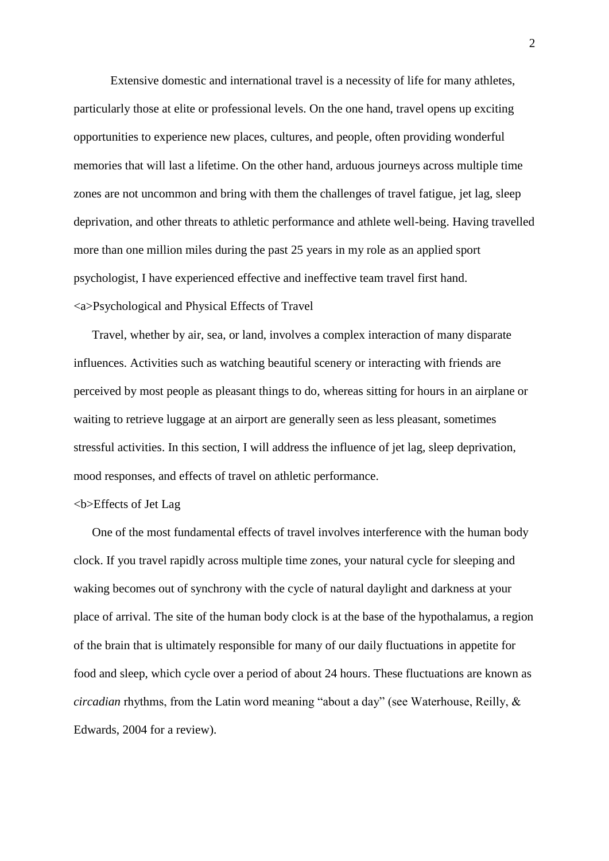Extensive domestic and international travel is a necessity of life for many athletes, particularly those at elite or professional levels. On the one hand, travel opens up exciting opportunities to experience new places, cultures, and people, often providing wonderful memories that will last a lifetime. On the other hand, arduous journeys across multiple time zones are not uncommon and bring with them the challenges of travel fatigue, jet lag, sleep deprivation, and other threats to athletic performance and athlete well-being. Having travelled more than one million miles during the past 25 years in my role as an applied sport psychologist, I have experienced effective and ineffective team travel first hand. <a>Psychological and Physical Effects of Travel

Travel, whether by air, sea, or land, involves a complex interaction of many disparate influences. Activities such as watching beautiful scenery or interacting with friends are perceived by most people as pleasant things to do, whereas sitting for hours in an airplane or waiting to retrieve luggage at an airport are generally seen as less pleasant, sometimes stressful activities. In this section, I will address the influence of jet lag, sleep deprivation, mood responses, and effects of travel on athletic performance.

## <b>Effects of Jet Lag

One of the most fundamental effects of travel involves interference with the human body clock. If you travel rapidly across multiple time zones, your natural cycle for sleeping and waking becomes out of synchrony with the cycle of natural daylight and darkness at your place of arrival. The site of the human body clock is at the base of the hypothalamus, a region of the brain that is ultimately responsible for many of our daily fluctuations in appetite for food and sleep, which cycle over a period of about 24 hours. These fluctuations are known as *circadian* rhythms, from the Latin word meaning "about a day" (see Waterhouse, Reilly, & Edwards, 2004 for a review).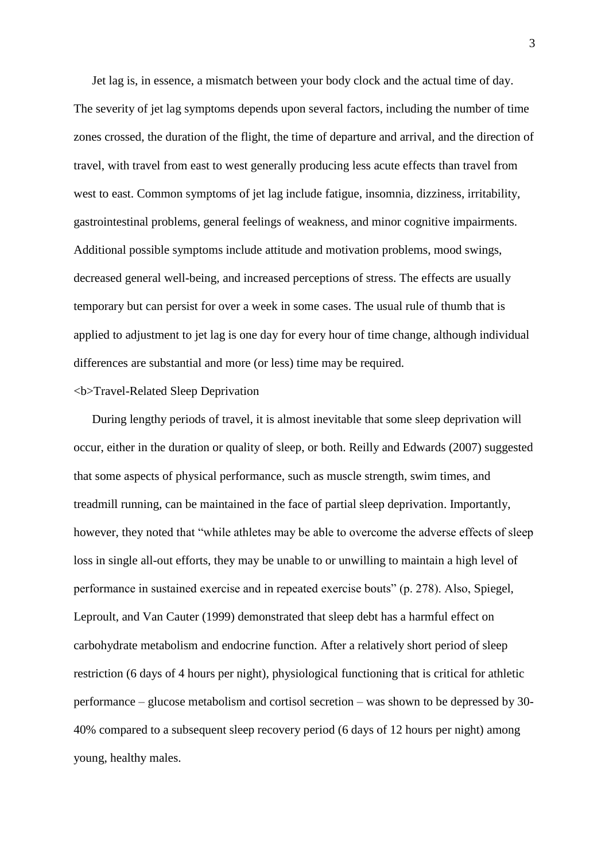Jet lag is, in essence, a mismatch between your body clock and the actual time of day. The severity of jet lag symptoms depends upon several factors, including the number of time zones crossed, the duration of the flight, the time of departure and arrival, and the direction of travel, with travel from east to west generally producing less acute effects than travel from west to east. Common symptoms of jet lag include fatigue, insomnia, dizziness, irritability, gastrointestinal problems, general feelings of weakness, and minor cognitive impairments. Additional possible symptoms include attitude and motivation problems, mood swings, decreased general well-being, and increased perceptions of stress. The effects are usually temporary but can persist for over a week in some cases. The usual rule of thumb that is applied to adjustment to jet lag is one day for every hour of time change, although individual differences are substantial and more (or less) time may be required.

### <b>Travel-Related Sleep Deprivation

During lengthy periods of travel, it is almost inevitable that some sleep deprivation will occur, either in the duration or quality of sleep, or both. Reilly and Edwards (2007) suggested that some aspects of physical performance, such as muscle strength, swim times, and treadmill running, can be maintained in the face of partial sleep deprivation. Importantly, however, they noted that "while athletes may be able to overcome the adverse effects of sleep loss in single all-out efforts, they may be unable to or unwilling to maintain a high level of performance in sustained exercise and in repeated exercise bouts" (p. 278). Also, Spiegel, Leproult, and Van Cauter (1999) demonstrated that sleep debt has a harmful effect on carbohydrate metabolism and endocrine function. After a relatively short period of sleep restriction (6 days of 4 hours per night), physiological functioning that is critical for athletic performance – glucose metabolism and cortisol secretion – was shown to be depressed by 30- 40% compared to a subsequent sleep recovery period (6 days of 12 hours per night) among young, healthy males.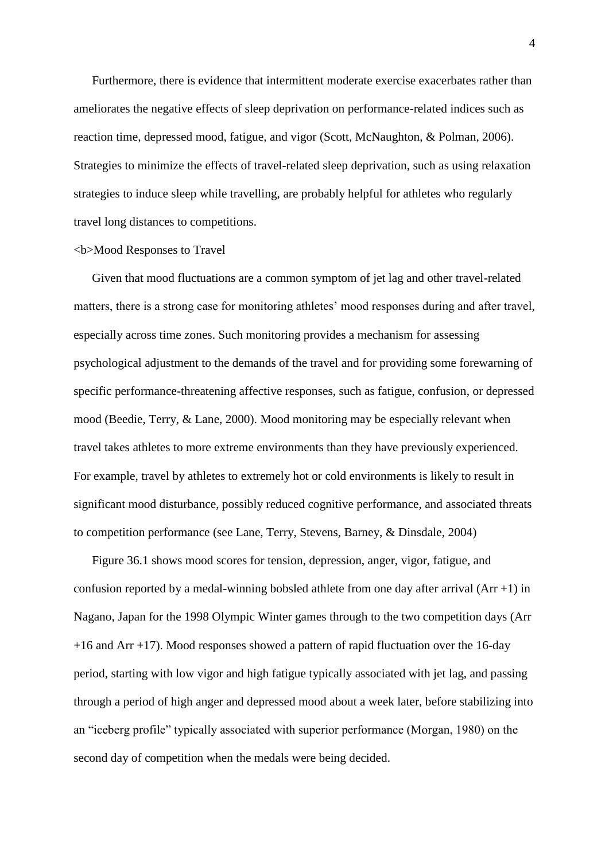Furthermore, there is evidence that intermittent moderate exercise exacerbates rather than ameliorates the negative effects of sleep deprivation on performance-related indices such as reaction time, depressed mood, fatigue, and vigor (Scott, McNaughton, & Polman, 2006). Strategies to minimize the effects of travel-related sleep deprivation, such as using relaxation strategies to induce sleep while travelling, are probably helpful for athletes who regularly travel long distances to competitions.

#### <b>Mood Responses to Travel

Given that mood fluctuations are a common symptom of jet lag and other travel-related matters, there is a strong case for monitoring athletes' mood responses during and after travel, especially across time zones. Such monitoring provides a mechanism for assessing psychological adjustment to the demands of the travel and for providing some forewarning of specific performance-threatening affective responses, such as fatigue, confusion, or depressed mood (Beedie, Terry, & Lane, 2000). Mood monitoring may be especially relevant when travel takes athletes to more extreme environments than they have previously experienced. For example, travel by athletes to extremely hot or cold environments is likely to result in significant mood disturbance, possibly reduced cognitive performance, and associated threats to competition performance (see Lane, Terry, Stevens, Barney, & Dinsdale, 2004)

Figure 36.1 shows mood scores for tension, depression, anger, vigor, fatigue, and confusion reported by a medal-winning bobsled athlete from one day after arrival  $(Arr +1)$  in Nagano, Japan for the 1998 Olympic Winter games through to the two competition days (Arr +16 and Arr +17). Mood responses showed a pattern of rapid fluctuation over the 16-day period, starting with low vigor and high fatigue typically associated with jet lag, and passing through a period of high anger and depressed mood about a week later, before stabilizing into an "iceberg profile" typically associated with superior performance (Morgan, 1980) on the second day of competition when the medals were being decided.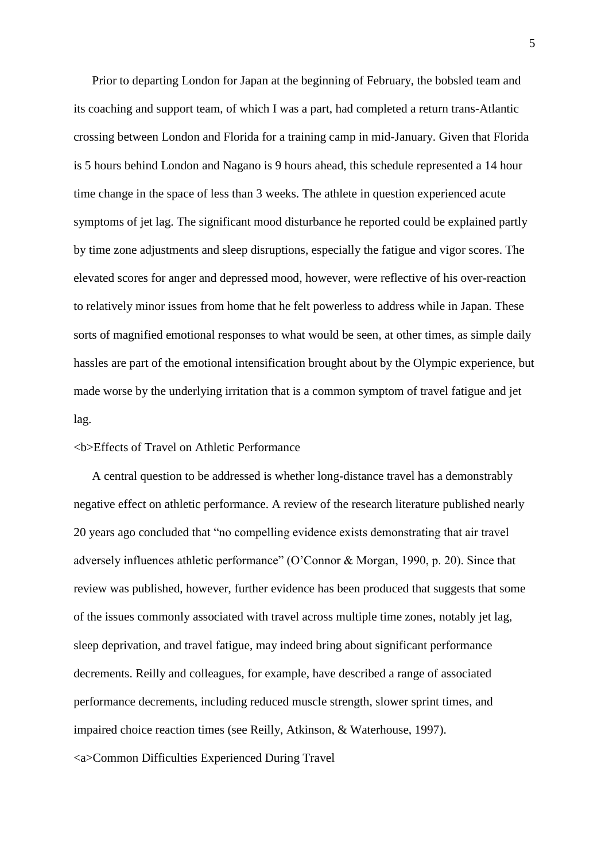Prior to departing London for Japan at the beginning of February, the bobsled team and its coaching and support team, of which I was a part, had completed a return trans-Atlantic crossing between London and Florida for a training camp in mid-January. Given that Florida is 5 hours behind London and Nagano is 9 hours ahead, this schedule represented a 14 hour time change in the space of less than 3 weeks. The athlete in question experienced acute symptoms of jet lag. The significant mood disturbance he reported could be explained partly by time zone adjustments and sleep disruptions, especially the fatigue and vigor scores. The elevated scores for anger and depressed mood, however, were reflective of his over-reaction to relatively minor issues from home that he felt powerless to address while in Japan. These sorts of magnified emotional responses to what would be seen, at other times, as simple daily hassles are part of the emotional intensification brought about by the Olympic experience, but made worse by the underlying irritation that is a common symptom of travel fatigue and jet lag.

## <b>Effects of Travel on Athletic Performance

A central question to be addressed is whether long-distance travel has a demonstrably negative effect on athletic performance. A review of the research literature published nearly 20 years ago concluded that "no compelling evidence exists demonstrating that air travel adversely influences athletic performance" (O'Connor & Morgan, 1990, p. 20). Since that review was published, however, further evidence has been produced that suggests that some of the issues commonly associated with travel across multiple time zones, notably jet lag, sleep deprivation, and travel fatigue, may indeed bring about significant performance decrements. Reilly and colleagues, for example, have described a range of associated performance decrements, including reduced muscle strength, slower sprint times, and impaired choice reaction times (see Reilly, Atkinson, & Waterhouse, 1997)*.*  <a>Common Difficulties Experienced During Travel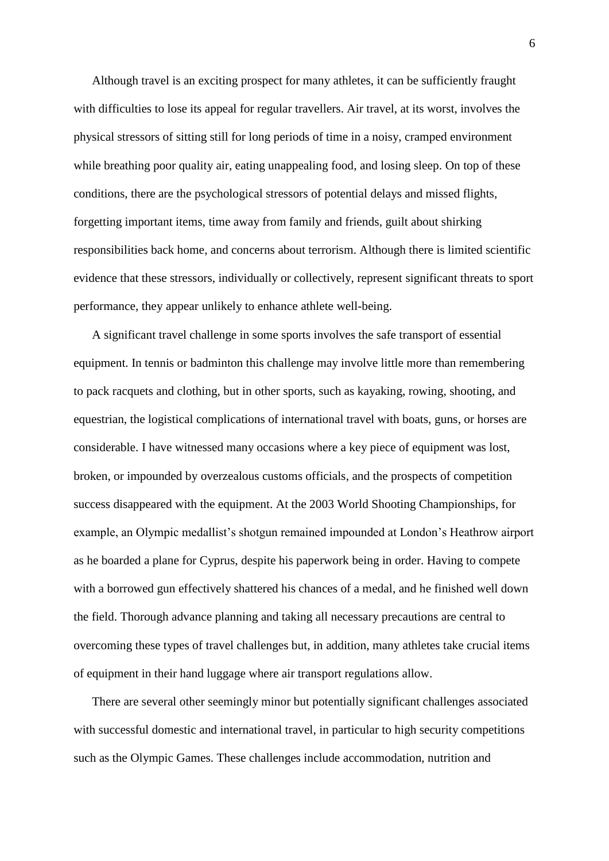Although travel is an exciting prospect for many athletes, it can be sufficiently fraught with difficulties to lose its appeal for regular travellers. Air travel, at its worst, involves the physical stressors of sitting still for long periods of time in a noisy, cramped environment while breathing poor quality air, eating unappealing food, and losing sleep. On top of these conditions, there are the psychological stressors of potential delays and missed flights, forgetting important items, time away from family and friends, guilt about shirking responsibilities back home, and concerns about terrorism. Although there is limited scientific evidence that these stressors, individually or collectively, represent significant threats to sport performance, they appear unlikely to enhance athlete well-being.

A significant travel challenge in some sports involves the safe transport of essential equipment. In tennis or badminton this challenge may involve little more than remembering to pack racquets and clothing, but in other sports, such as kayaking, rowing, shooting, and equestrian, the logistical complications of international travel with boats, guns, or horses are considerable. I have witnessed many occasions where a key piece of equipment was lost, broken, or impounded by overzealous customs officials, and the prospects of competition success disappeared with the equipment. At the 2003 World Shooting Championships, for example, an Olympic medallist's shotgun remained impounded at London's Heathrow airport as he boarded a plane for Cyprus, despite his paperwork being in order. Having to compete with a borrowed gun effectively shattered his chances of a medal, and he finished well down the field. Thorough advance planning and taking all necessary precautions are central to overcoming these types of travel challenges but, in addition, many athletes take crucial items of equipment in their hand luggage where air transport regulations allow.

There are several other seemingly minor but potentially significant challenges associated with successful domestic and international travel, in particular to high security competitions such as the Olympic Games. These challenges include accommodation, nutrition and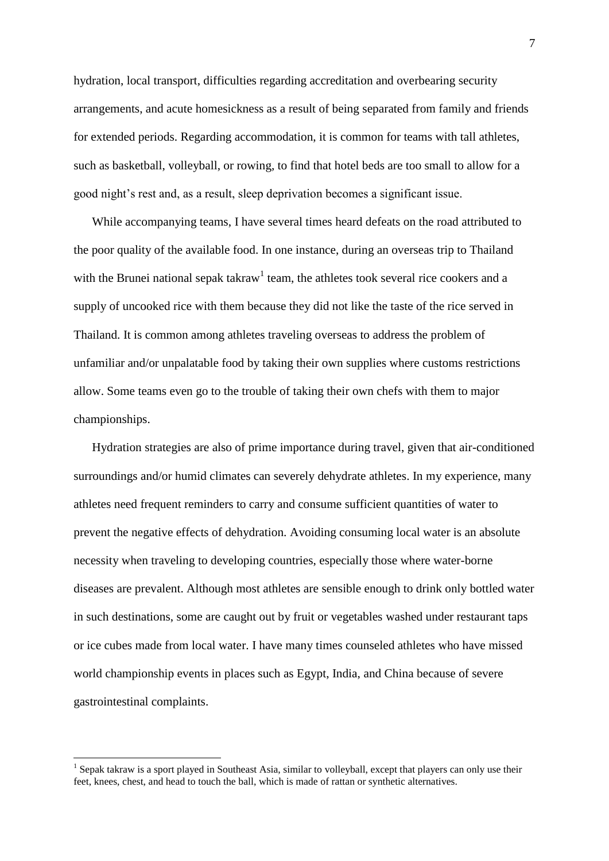hydration, local transport, difficulties regarding accreditation and overbearing security arrangements, and acute homesickness as a result of being separated from family and friends for extended periods. Regarding accommodation, it is common for teams with tall athletes, such as basketball, volleyball, or rowing, to find that hotel beds are too small to allow for a good night's rest and, as a result, sleep deprivation becomes a significant issue.

While accompanying teams, I have several times heard defeats on the road attributed to the poor quality of the available food. In one instance, during an overseas trip to Thailand with the Brunei national sepak takraw<sup>1</sup> team, the athletes took several rice cookers and a supply of uncooked rice with them because they did not like the taste of the rice served in Thailand. It is common among athletes traveling overseas to address the problem of unfamiliar and/or unpalatable food by taking their own supplies where customs restrictions allow. Some teams even go to the trouble of taking their own chefs with them to major championships.

Hydration strategies are also of prime importance during travel, given that air-conditioned surroundings and/or humid climates can severely dehydrate athletes. In my experience, many athletes need frequent reminders to carry and consume sufficient quantities of water to prevent the negative effects of dehydration. Avoiding consuming local water is an absolute necessity when traveling to developing countries, especially those where water-borne diseases are prevalent. Although most athletes are sensible enough to drink only bottled water in such destinations, some are caught out by fruit or vegetables washed under restaurant taps or ice cubes made from local water. I have many times counseled athletes who have missed world championship events in places such as Egypt, India, and China because of severe gastrointestinal complaints.

1

<sup>&</sup>lt;sup>1</sup> Sepak takraw is a sport played in Southeast Asia, similar to volleyball, except that players can only use their feet, knees, chest, and head to touch the ball, which is made of rattan or synthetic alternatives.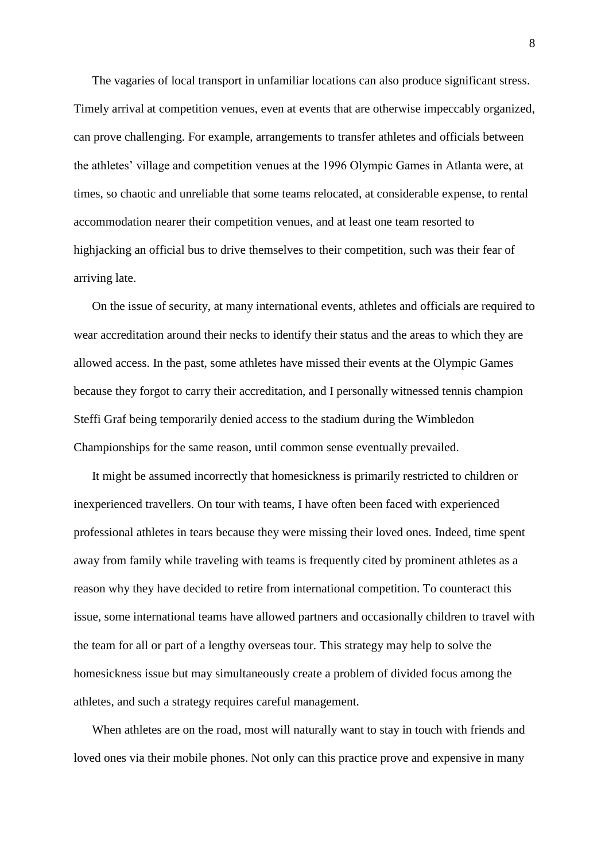The vagaries of local transport in unfamiliar locations can also produce significant stress. Timely arrival at competition venues, even at events that are otherwise impeccably organized, can prove challenging. For example, arrangements to transfer athletes and officials between the athletes' village and competition venues at the 1996 Olympic Games in Atlanta were, at times, so chaotic and unreliable that some teams relocated, at considerable expense, to rental accommodation nearer their competition venues, and at least one team resorted to highjacking an official bus to drive themselves to their competition, such was their fear of arriving late.

On the issue of security, at many international events, athletes and officials are required to wear accreditation around their necks to identify their status and the areas to which they are allowed access. In the past, some athletes have missed their events at the Olympic Games because they forgot to carry their accreditation, and I personally witnessed tennis champion Steffi Graf being temporarily denied access to the stadium during the Wimbledon Championships for the same reason, until common sense eventually prevailed.

It might be assumed incorrectly that homesickness is primarily restricted to children or inexperienced travellers. On tour with teams, I have often been faced with experienced professional athletes in tears because they were missing their loved ones. Indeed, time spent away from family while traveling with teams is frequently cited by prominent athletes as a reason why they have decided to retire from international competition. To counteract this issue, some international teams have allowed partners and occasionally children to travel with the team for all or part of a lengthy overseas tour. This strategy may help to solve the homesickness issue but may simultaneously create a problem of divided focus among the athletes, and such a strategy requires careful management.

When athletes are on the road, most will naturally want to stay in touch with friends and loved ones via their mobile phones. Not only can this practice prove and expensive in many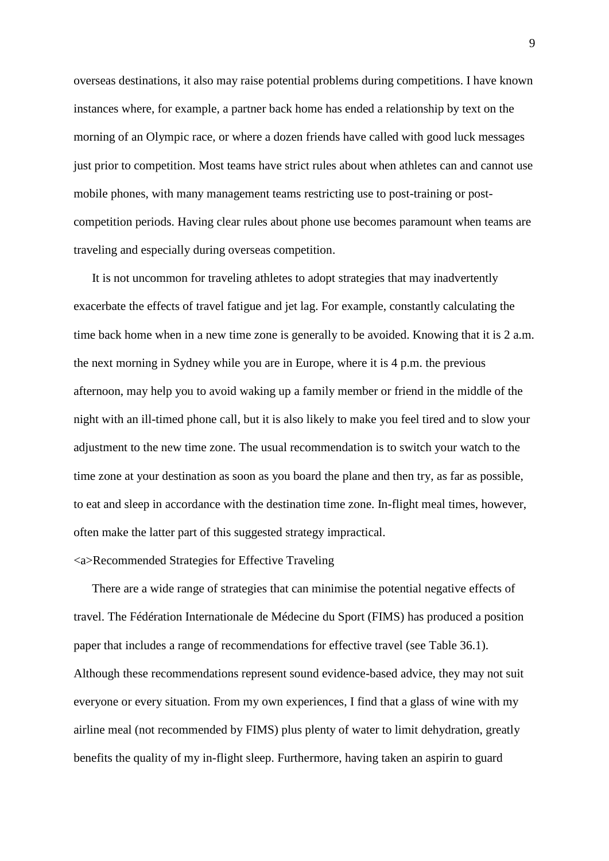overseas destinations, it also may raise potential problems during competitions. I have known instances where, for example, a partner back home has ended a relationship by text on the morning of an Olympic race, or where a dozen friends have called with good luck messages just prior to competition. Most teams have strict rules about when athletes can and cannot use mobile phones, with many management teams restricting use to post-training or postcompetition periods. Having clear rules about phone use becomes paramount when teams are traveling and especially during overseas competition.

It is not uncommon for traveling athletes to adopt strategies that may inadvertently exacerbate the effects of travel fatigue and jet lag. For example, constantly calculating the time back home when in a new time zone is generally to be avoided. Knowing that it is 2 a.m. the next morning in Sydney while you are in Europe, where it is 4 p.m. the previous afternoon, may help you to avoid waking up a family member or friend in the middle of the night with an ill-timed phone call, but it is also likely to make you feel tired and to slow your adjustment to the new time zone. The usual recommendation is to switch your watch to the time zone at your destination as soon as you board the plane and then try, as far as possible, to eat and sleep in accordance with the destination time zone. In-flight meal times, however, often make the latter part of this suggested strategy impractical.

#### <a>Recommended Strategies for Effective Traveling

There are a wide range of strategies that can minimise the potential negative effects of travel. The Fédération Internationale de Médecine du Sport (FIMS) has produced a position paper that includes a range of recommendations for effective travel (see Table 36.1). Although these recommendations represent sound evidence-based advice, they may not suit everyone or every situation. From my own experiences, I find that a glass of wine with my airline meal (not recommended by FIMS) plus plenty of water to limit dehydration, greatly benefits the quality of my in-flight sleep. Furthermore, having taken an aspirin to guard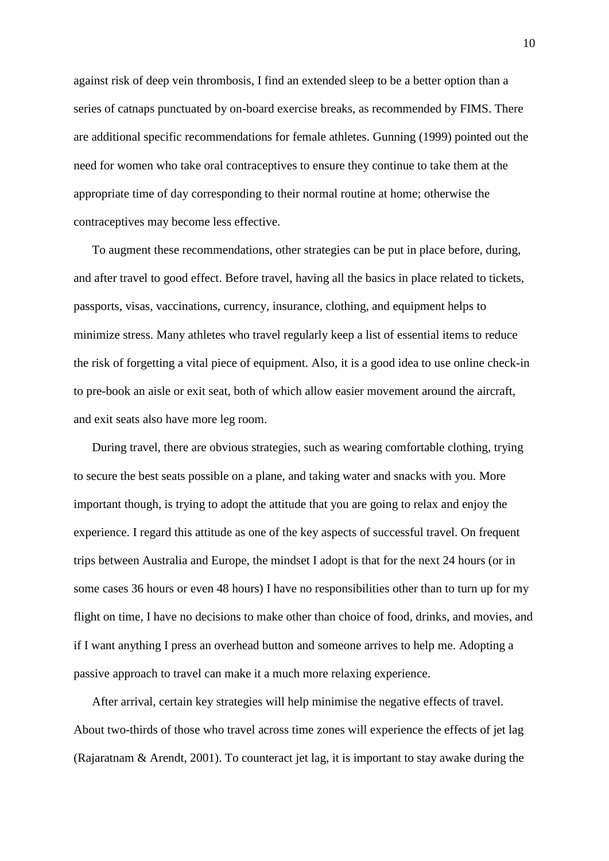against risk of deep vein thrombosis, I find an extended sleep to be a better option than a series of catnaps punctuated by on-board exercise breaks, as recommended by FIMS. There are additional specific recommendations for female athletes. Gunning (1999) pointed out the need for women who take oral contraceptives to ensure they continue to take them at the appropriate time of day corresponding to their normal routine at home; otherwise the contraceptives may become less effective.

To augment these recommendations, other strategies can be put in place before, during, and after travel to good effect. Before travel, having all the basics in place related to tickets, passports, visas, vaccinations, currency, insurance, clothing, and equipment helps to minimize stress. Many athletes who travel regularly keep a list of essential items to reduce the risk of forgetting a vital piece of equipment. Also, it is a good idea to use online check-in to pre-book an aisle or exit seat, both of which allow easier movement around the aircraft, and exit seats also have more leg room.

During travel, there are obvious strategies, such as wearing comfortable clothing, trying to secure the best seats possible on a plane, and taking water and snacks with you. More important though, is trying to adopt the attitude that you are going to relax and enjoy the experience. I regard this attitude as one of the key aspects of successful travel. On frequent trips between Australia and Europe, the mindset I adopt is that for the next 24 hours (or in some cases 36 hours or even 48 hours) I have no responsibilities other than to turn up for my flight on time, I have no decisions to make other than choice of food, drinks, and movies, and if I want anything I press an overhead button and someone arrives to help me. Adopting a passive approach to travel can make it a much more relaxing experience.

After arrival, certain key strategies will help minimise the negative effects of travel. About two-thirds of those who travel across time zones will experience the effects of jet lag (Rajaratnam & Arendt, 2001). To counteract jet lag, it is important to stay awake during the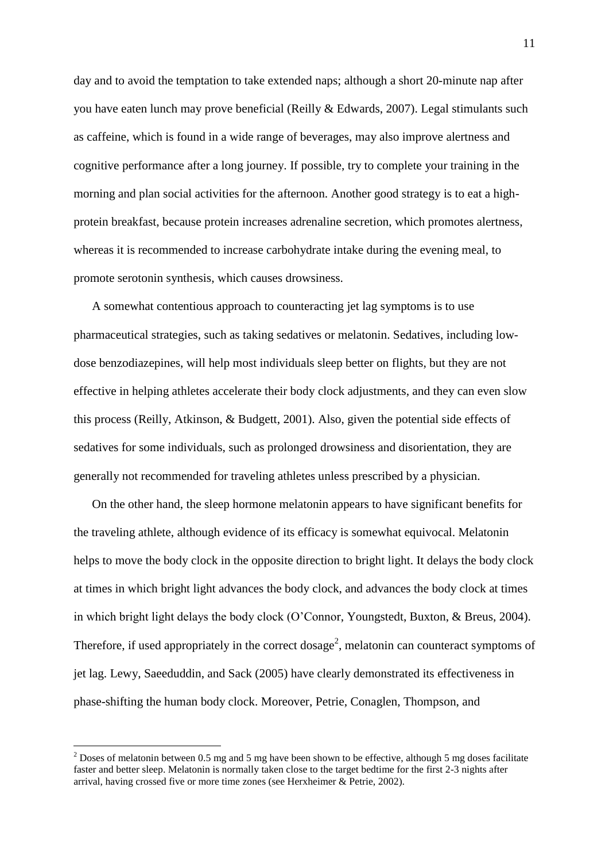day and to avoid the temptation to take extended naps; although a short 20-minute nap after you have eaten lunch may prove beneficial (Reilly & Edwards, 2007). Legal stimulants such as caffeine, which is found in a wide range of beverages, may also improve alertness and cognitive performance after a long journey. If possible, try to complete your training in the morning and plan social activities for the afternoon. Another good strategy is to eat a highprotein breakfast, because protein increases adrenaline secretion, which promotes alertness, whereas it is recommended to increase carbohydrate intake during the evening meal, to promote serotonin synthesis, which causes drowsiness.

A somewhat contentious approach to counteracting jet lag symptoms is to use pharmaceutical strategies, such as taking sedatives or melatonin. Sedatives, including lowdose benzodiazepines, will help most individuals sleep better on flights, but they are not effective in helping athletes accelerate their body clock adjustments, and they can even slow this process (Reilly, Atkinson, & Budgett, 2001). Also, given the potential side effects of sedatives for some individuals, such as prolonged drowsiness and disorientation, they are generally not recommended for traveling athletes unless prescribed by a physician.

On the other hand, the sleep hormone melatonin appears to have significant benefits for the traveling athlete, although evidence of its efficacy is somewhat equivocal. Melatonin helps to move the body clock in the opposite direction to bright light. It delays the body clock at times in which bright light advances the body clock, and advances the body clock at times in which bright light delays the body clock (O'Connor, Youngstedt, Buxton, & Breus, 2004). Therefore, if used appropriately in the correct dosage<sup>2</sup>, melatonin can counteract symptoms of jet lag. Lewy, Saeeduddin, and Sack (2005) have clearly demonstrated its effectiveness in phase-shifting the human body clock. Moreover, Petrie, Conaglen, Thompson, and

<u>.</u>

<sup>&</sup>lt;sup>2</sup> Doses of melatonin between 0.5 mg and 5 mg have been shown to be effective, although 5 mg doses facilitate faster and better sleep. Melatonin is normally taken close to the target bedtime for the first 2-3 nights after arrival, having crossed five or more time zones (see Herxheimer & Petrie, 2002).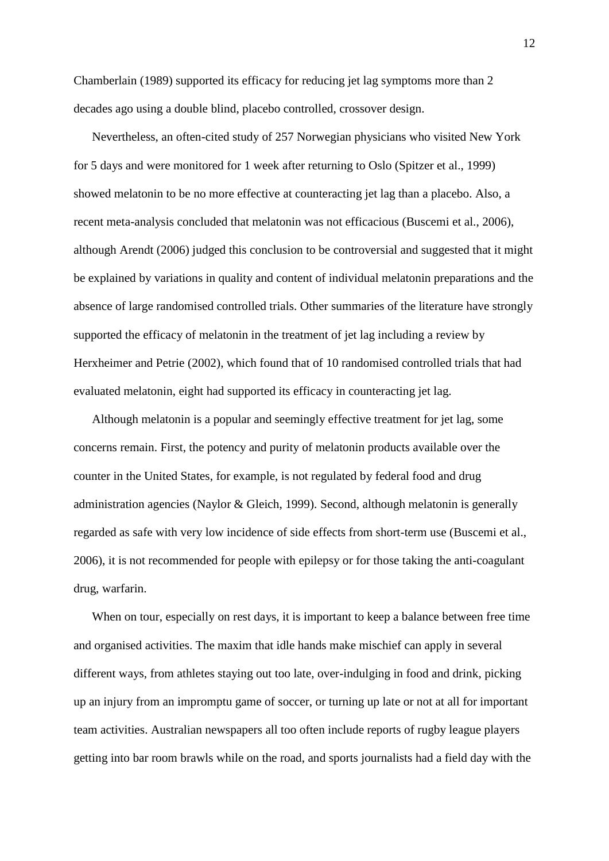Chamberlain (1989) supported its efficacy for reducing jet lag symptoms more than 2 decades ago using a double blind, placebo controlled, crossover design.

Nevertheless, an often-cited study of 257 Norwegian physicians who visited New York for 5 days and were monitored for 1 week after returning to Oslo (Spitzer et al., 1999) showed melatonin to be no more effective at counteracting jet lag than a placebo. Also, a recent meta-analysis concluded that melatonin was not efficacious (Buscemi et al., 2006), although Arendt (2006) judged this conclusion to be controversial and suggested that it might be explained by variations in quality and content of individual melatonin preparations and the absence of large randomised controlled trials. Other summaries of the literature have strongly supported the efficacy of melatonin in the treatment of jet lag including a review by Herxheimer and Petrie (2002), which found that of 10 randomised controlled trials that had evaluated melatonin, eight had supported its efficacy in counteracting jet lag.

Although melatonin is a popular and seemingly effective treatment for jet lag, some concerns remain. First, the potency and purity of melatonin products available over the counter in the United States, for example, is not regulated by federal food and drug administration agencies (Naylor & Gleich, 1999). Second, although melatonin is generally regarded as safe with very low incidence of side effects from short-term use (Buscemi et al., 2006), it is not recommended for people with epilepsy or for those taking the anti-coagulant drug, warfarin.

When on tour, especially on rest days, it is important to keep a balance between free time and organised activities. The maxim that idle hands make mischief can apply in several different ways, from athletes staying out too late, over-indulging in food and drink, picking up an injury from an impromptu game of soccer, or turning up late or not at all for important team activities. Australian newspapers all too often include reports of rugby league players getting into bar room brawls while on the road, and sports journalists had a field day with the

12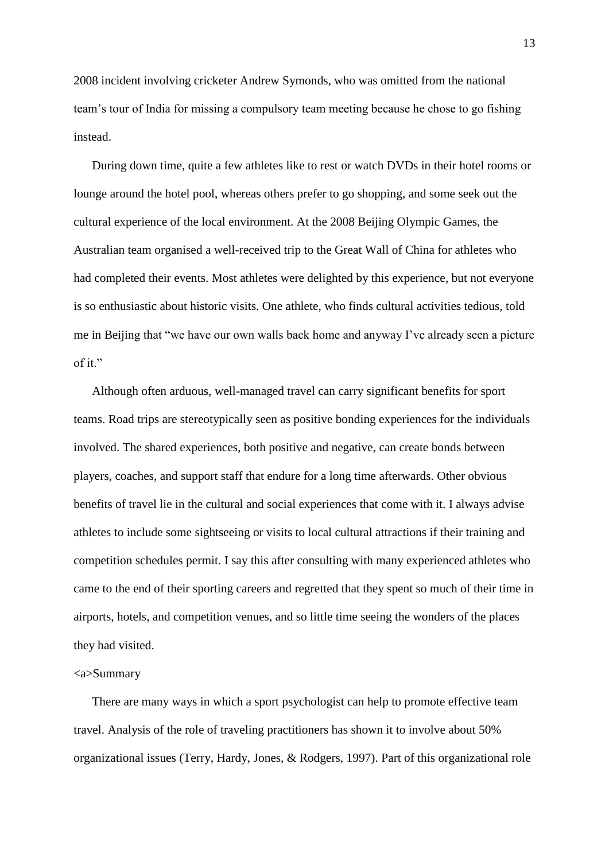2008 incident involving cricketer Andrew Symonds, who was omitted from the national team's tour of India for missing a compulsory team meeting because he chose to go fishing instead.

During down time, quite a few athletes like to rest or watch DVDs in their hotel rooms or lounge around the hotel pool, whereas others prefer to go shopping, and some seek out the cultural experience of the local environment. At the 2008 Beijing Olympic Games, the Australian team organised a well-received trip to the Great Wall of China for athletes who had completed their events. Most athletes were delighted by this experience, but not everyone is so enthusiastic about historic visits. One athlete, who finds cultural activities tedious, told me in Beijing that "we have our own walls back home and anyway I've already seen a picture of it."

Although often arduous, well-managed travel can carry significant benefits for sport teams. Road trips are stereotypically seen as positive bonding experiences for the individuals involved. The shared experiences, both positive and negative, can create bonds between players, coaches, and support staff that endure for a long time afterwards. Other obvious benefits of travel lie in the cultural and social experiences that come with it. I always advise athletes to include some sightseeing or visits to local cultural attractions if their training and competition schedules permit. I say this after consulting with many experienced athletes who came to the end of their sporting careers and regretted that they spent so much of their time in airports, hotels, and competition venues, and so little time seeing the wonders of the places they had visited.

## <a>Summary

There are many ways in which a sport psychologist can help to promote effective team travel. Analysis of the role of traveling practitioners has shown it to involve about 50% organizational issues (Terry, Hardy, Jones, & Rodgers, 1997). Part of this organizational role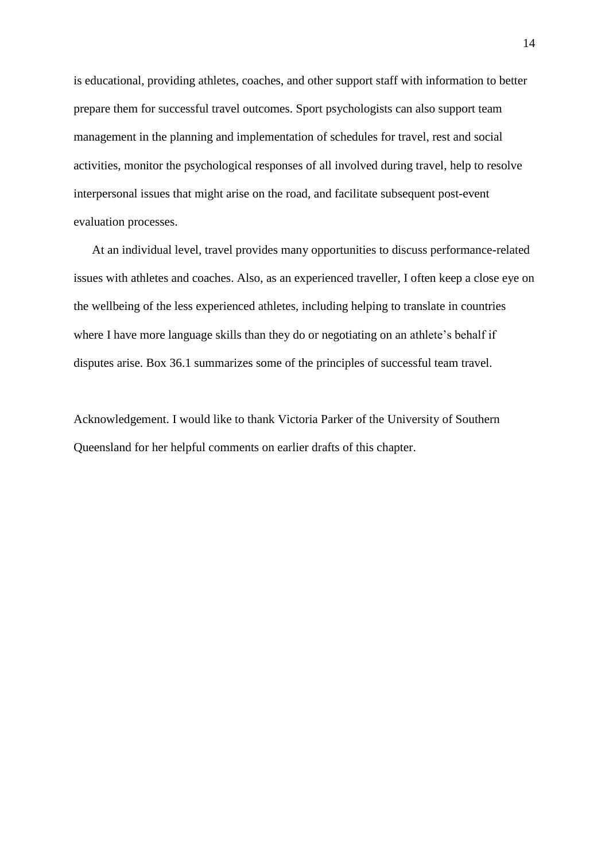is educational, providing athletes, coaches, and other support staff with information to better prepare them for successful travel outcomes. Sport psychologists can also support team management in the planning and implementation of schedules for travel, rest and social activities, monitor the psychological responses of all involved during travel, help to resolve interpersonal issues that might arise on the road, and facilitate subsequent post-event evaluation processes.

At an individual level, travel provides many opportunities to discuss performance-related issues with athletes and coaches. Also, as an experienced traveller, I often keep a close eye on the wellbeing of the less experienced athletes, including helping to translate in countries where I have more language skills than they do or negotiating on an athlete's behalf if disputes arise. Box 36.1 summarizes some of the principles of successful team travel.

Acknowledgement. I would like to thank Victoria Parker of the University of Southern Queensland for her helpful comments on earlier drafts of this chapter.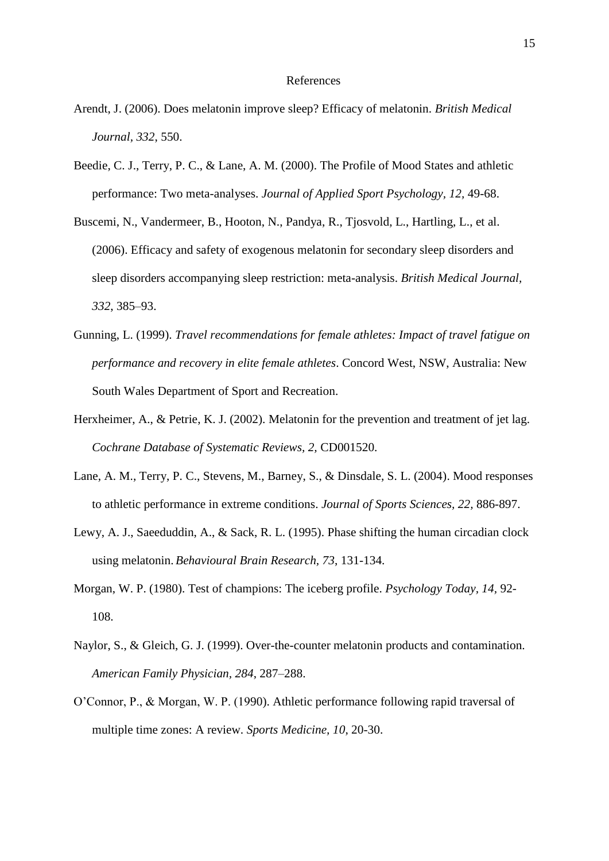#### References

- Arendt, J. (2006). Does melatonin improve sleep? Efficacy of melatonin. *British Medical Journal, 332*, 550.
- Beedie, C. J., Terry, P. C., & Lane, A. M. (2000). The Profile of Mood States and athletic performance: Two meta-analyses. *Journal of Applied Sport Psychology, 12,* 49-68.
- Buscemi, N., Vandermeer, B., Hooton, N., Pandya, R., Tjosvold, L., Hartling, L., et al. (2006). Efficacy and safety of exogenous melatonin for secondary sleep disorders and sleep disorders accompanying sleep restriction: meta-analysis. *British Medical Journal, 332*, 385–93.
- Gunning, L. (1999). *Travel recommendations for female athletes: Impact of travel fatigue on performance and recovery in elite female athletes*. Concord West, NSW, Australia: New South Wales Department of Sport and Recreation.
- Herxheimer, A., & Petrie, K. J. (2002). Melatonin for the prevention and treatment of jet lag. *Cochrane Database of Systematic Reviews, 2,* CD001520.
- Lane, A. M., Terry, P. C., Stevens, M., Barney, S., & Dinsdale, S. L. (2004). Mood responses to athletic performance in extreme conditions. *Journal of Sports Sciences, 22,* 886-897.
- Lewy, A. J., Saeeduddin, A., & Sack, R. L. (1995). Phase shifting the human circadian clock using melatonin. *Behavioural Brain Research, 73*, 131-134.
- Morgan, W. P. (1980). Test of champions: The iceberg profile. *Psychology Today, 14,* 92- 108.
- Naylor, S., & Gleich, G. J. (1999). Over-the-counter melatonin products and contamination. *American Family Physician, 284*, 287–288.
- O'Connor, P., & Morgan, W. P. (1990). Athletic performance following rapid traversal of multiple time zones: A review. *Sports Medicine, 10*, 20-30.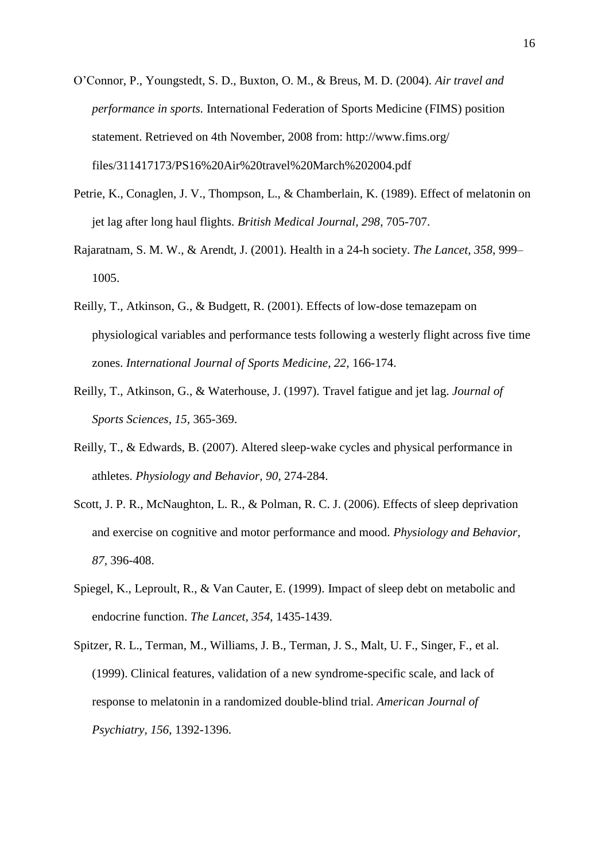- O'Connor, P., Youngstedt, S. D., Buxton, O. M., & Breus, M. D. (2004). *Air travel and performance in sports.* International Federation of Sports Medicine (FIMS) position statement. Retrieved on 4th November, 2008 from: [http://www.fims.org/](http://www.fims.org/%20files/)  [files/3](http://www.fims.org/%20files/)11417173/PS16%20Air%20travel%20March%202004.pdf
- Petrie, K., Conaglen, J. V., Thompson, L., & Chamberlain, K. (1989). Effect of melatonin on jet lag after long haul flights. *British Medical Journal, 298,* 705-707.
- Rajaratnam, S. M. W., & Arendt, J. (2001). Health in a 24-h society. *The Lancet, 358*, 999– 1005.
- Reilly, T., Atkinson, G., & Budgett, R. (2001). Effects of low-dose temazepam on physiological variables and performance tests following a westerly flight across five time zones. *International Journal of Sports Medicine, 22,* 166-174.
- Reilly, T., Atkinson, G., & Waterhouse, J. (1997). Travel fatigue and jet lag. *Journal of Sports Sciences, 15,* 365-369.
- Reilly, T., & Edwards, B. (2007). Altered sleep-wake cycles and physical performance in athletes. *Physiology and Behavior, 90,* 274-284.
- Scott, J. P. R., McNaughton, L. R., & Polman, R. C. J. (2006). Effects of sleep deprivation and exercise on cognitive and motor performance and mood. *Physiology and Behavior, 87,* 396-408.
- Spiegel, K., Leproult, R., & Van Cauter, E. (1999). Impact of sleep debt on metabolic and endocrine function. *The Lancet, 354*, 1435-1439.
- Spitzer, R. L., Terman, M., Williams, J. B., Terman, J. S., Malt, U. F., Singer, F., et al. (1999). Clinical features, validation of a new syndrome-specific scale, and lack of response to melatonin in a randomized double-blind trial. *American Journal of Psychiatry, 156*, 1392-1396.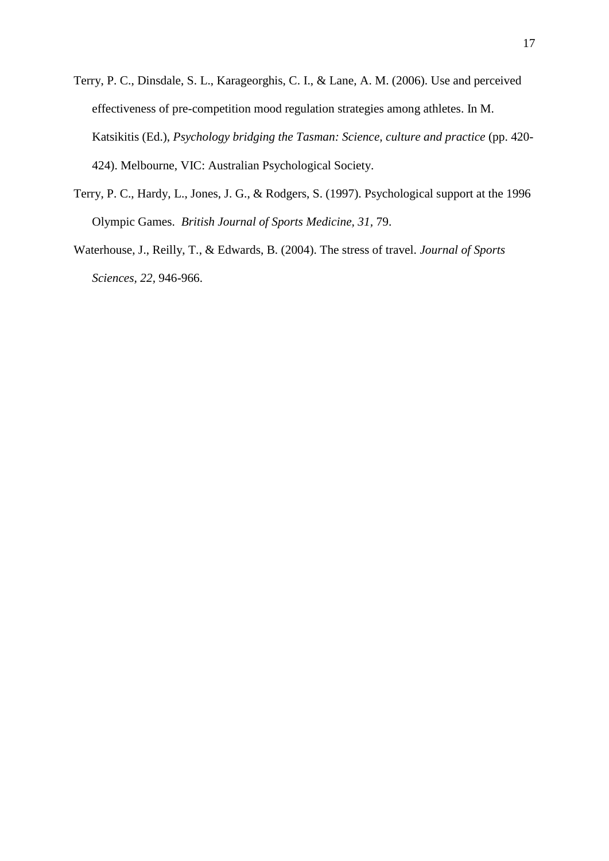- Terry, P. C., Dinsdale, S. L., Karageorghis, C. I., & Lane, A. M. (2006). Use and perceived effectiveness of pre-competition mood regulation strategies among athletes. In M. Katsikitis (Ed.), *Psychology bridging the Tasman: Science, culture and practice* (pp. 420- 424). Melbourne, VIC: Australian Psychological Society.
- Terry, P. C., Hardy, L., Jones, J. G., & Rodgers, S. (1997). Psychological support at the 1996 Olympic Games. *British Journal of Sports Medicine, 31,* 79.
- Waterhouse, J., Reilly, T., & Edwards, B. (2004). The stress of travel. *Journal of Sports Sciences, 22,* 946-966.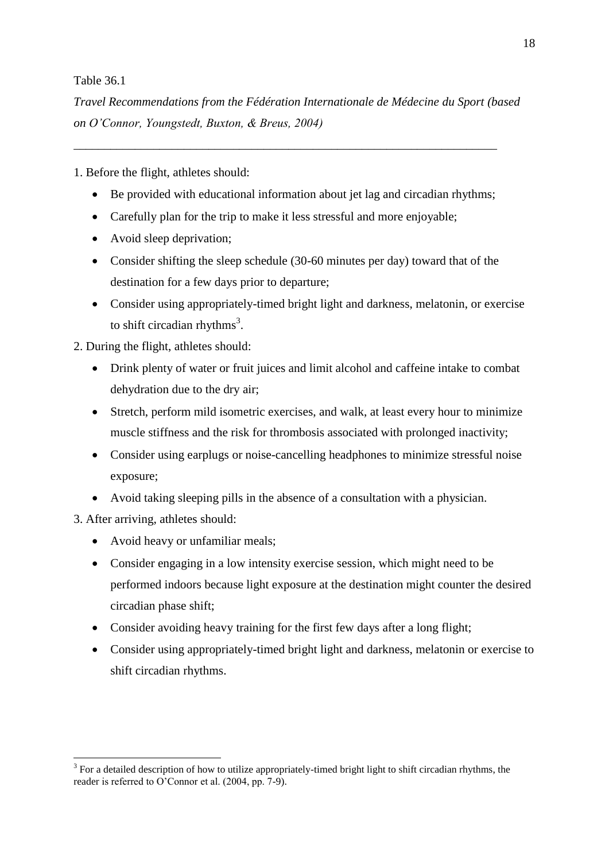# Table 36.1

*Travel Recommendations from the Fédération Internationale de Médecine du Sport (based on O'Connor, Youngstedt, Buxton, & Breus, 2004)*

\_\_\_\_\_\_\_\_\_\_\_\_\_\_\_\_\_\_\_\_\_\_\_\_\_\_\_\_\_\_\_\_\_\_\_\_\_\_\_\_\_\_\_\_\_\_\_\_\_\_\_\_\_\_\_\_\_\_\_\_\_\_\_\_\_\_\_\_\_

1. Before the flight, athletes should:

- Be provided with educational information about jet lag and circadian rhythms;
- Carefully plan for the trip to make it less stressful and more enjoyable;
- Avoid sleep deprivation;
- Consider shifting the sleep schedule (30-60 minutes per day) toward that of the destination for a few days prior to departure;
- Consider using appropriately-timed bright light and darkness, melatonin, or exercise to shift circadian rhythms<sup>3</sup>.

2. During the flight, athletes should:

- Drink plenty of water or fruit juices and limit alcohol and caffeine intake to combat dehydration due to the dry air;
- Stretch, perform mild isometric exercises, and walk, at least every hour to minimize muscle stiffness and the risk for thrombosis associated with prolonged inactivity;
- Consider using earplugs or noise-cancelling headphones to minimize stressful noise exposure;
- Avoid taking sleeping pills in the absence of a consultation with a physician.

3. After arriving, athletes should:

- Avoid heavy or unfamiliar meals;
- Consider engaging in a low intensity exercise session, which might need to be performed indoors because light exposure at the destination might counter the desired circadian phase shift;
- Consider avoiding heavy training for the first few days after a long flight;
- Consider using appropriately-timed bright light and darkness, melatonin or exercise to shift circadian rhythms.

<sup>1</sup>  $3$  For a detailed description of how to utilize appropriately-timed bright light to shift circadian rhythms, the reader is referred to O'Connor et al. (2004, pp. 7-9).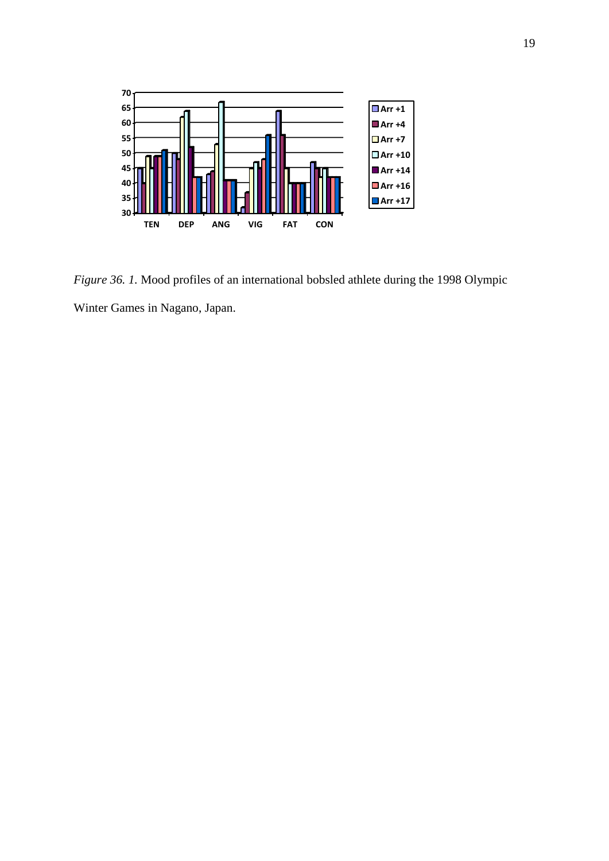

*Figure 36. 1.* Mood profiles of an international bobsled athlete during the 1998 Olympic Winter Games in Nagano, Japan.